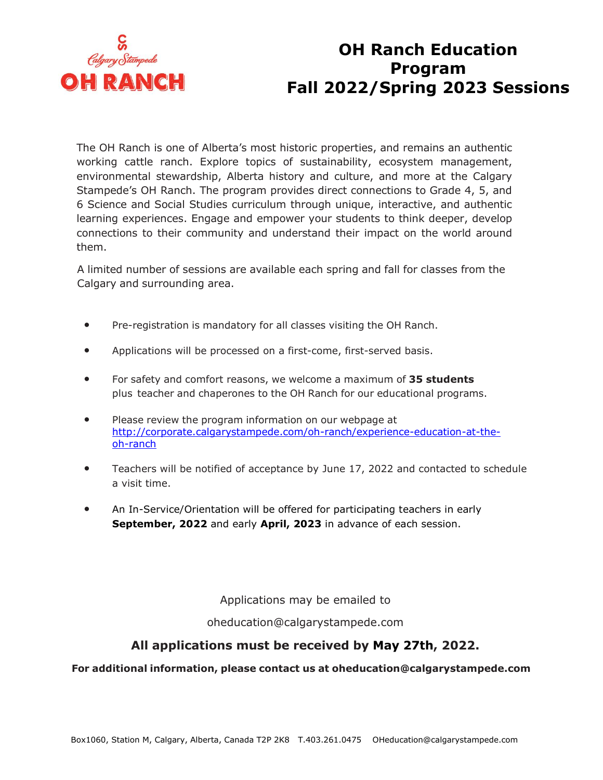

## **OH Ranch Education Program Fall 2022/Spring 2023 Sessions**

The OH Ranch is one of Alberta's most historic properties, and remains an authentic working cattle ranch. Explore topics of sustainability, ecosystem management, environmental stewardship, Alberta history and culture, and more at the Calgary Stampede's OH Ranch. The program provides direct connections to Grade 4, 5, and 6 Science and Social Studies curriculum through unique, interactive, and authentic learning experiences. Engage and empower your students to think deeper, develop connections to their community and understand their impact on the world around them.

A limited number of sessions are available each spring and fall for classes from the Calgary and surrounding area.

- Pre-registration is mandatory for all classes visiting the OH Ranch.
- Applications will be processed on a first-come, first-served basis.
- For safety and comfort reasons, we welcome a maximum of **35 students** plus teacher and chaperones to the OH Ranch for our educational programs.
- Please review the program information on our webpage at [http://corporate.calgarystampede.com/oh-ranch/experience-education-at-the](http://corporate.calgarystampede.com/oh-ranch/experience-education-at-the-oh-ranch)[oh-ranch](http://corporate.calgarystampede.com/oh-ranch/experience-education-at-the-oh-ranch)
- Teachers will be notified of acceptance by June 17, 2022 and contacted to schedule a visit time.
- An In-Service/Orientation will be offered for participating teachers in early **September, 2022** and early **April, 2023** in advance of each session.

Applications may be emailed to

[oheducation@calgarystampede.com](mailto:oheducation@calgarystampede.com)

## **All applications must be received by May 27th, 2022.**

## **For additional information, please contact us at [oheducation@calgarystampede.com](mailto:oheducation@calgarystampede.com)**